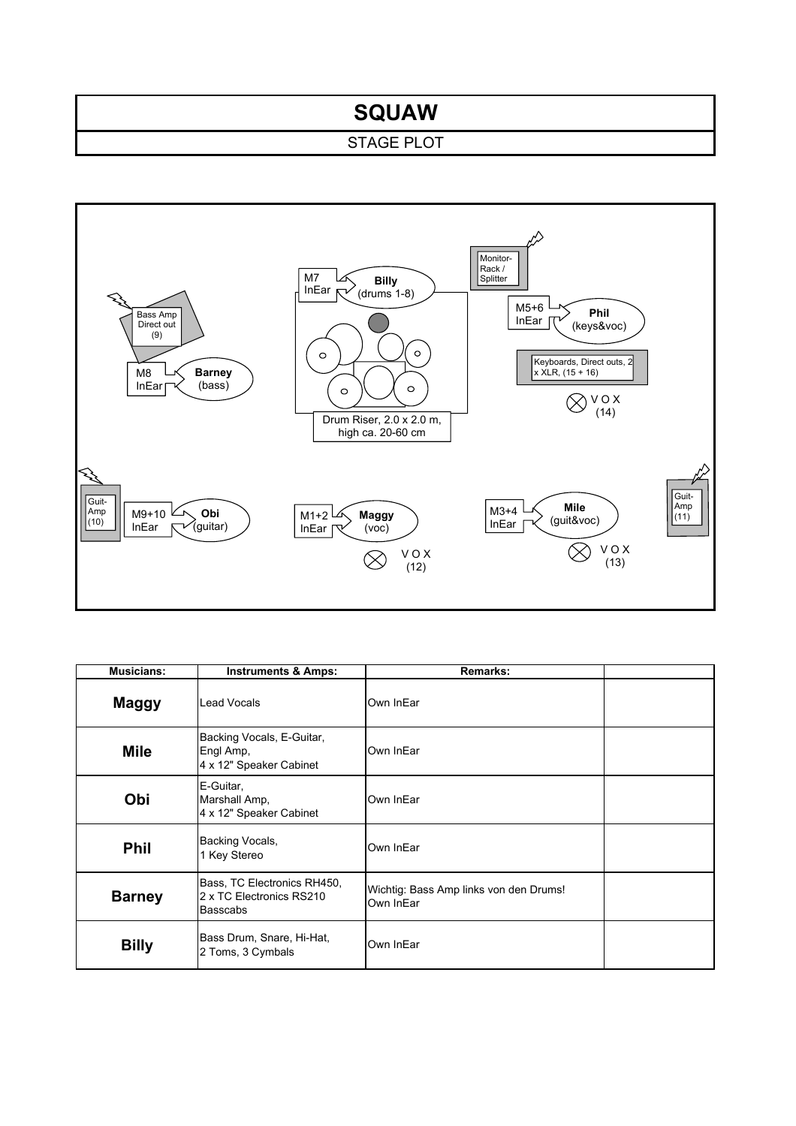## **SQUAW**

## STAGE PLOT



| <b>Musicians:</b> | <b>Instruments &amp; Amps:</b>                                             | <b>Remarks:</b>                                     |  |
|-------------------|----------------------------------------------------------------------------|-----------------------------------------------------|--|
| <b>Maggy</b>      | Lead Vocals                                                                | Own InEar                                           |  |
| <b>Mile</b>       | Backing Vocals, E-Guitar,<br>Engl Amp,<br>4 x 12" Speaker Cabinet          | Own InEar                                           |  |
| Obi               | E-Guitar,<br>Marshall Amp,<br>4 x 12" Speaker Cabinet                      | Own InEar                                           |  |
| <b>Phil</b>       | Backing Vocals,<br>1 Key Stereo                                            | Own InEar                                           |  |
| <b>Barney</b>     | Bass, TC Electronics RH450,<br>2 x TC Electronics RS210<br><b>Basscabs</b> | Wichtig: Bass Amp links von den Drums!<br>Own InEar |  |
| <b>Billy</b>      | Bass Drum, Snare, Hi-Hat,<br>2 Toms, 3 Cymbals                             | Own InEar                                           |  |